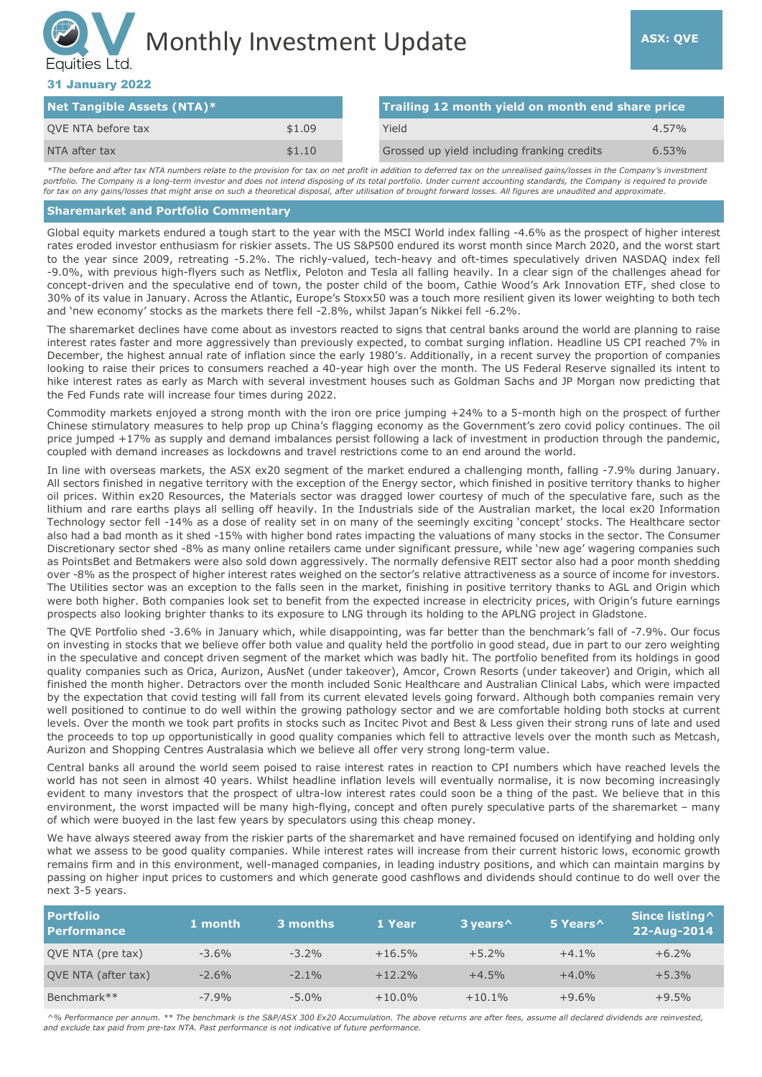# Monthly Investment Update **ASX: QVE** Equities Ltd.

## 31 January 2022

| <b>Net Tangible Assets (NTA)*</b> |        |  | Trailing 12 month yield on month end share price |          |  |
|-----------------------------------|--------|--|--------------------------------------------------|----------|--|
| QVE NTA before tax                | \$1.09 |  | Yield                                            | $4.57\%$ |  |
| NTA after tax                     | \$1.10 |  | Grossed up yield including franking credits      | $6.53\%$ |  |

*\*The before and after tax NTA numbers relate to the provision for tax on net profit in addition to deferred tax on the unrealised gains/losses in the Company's investment portfolio. The Company is a long-term investor and does not intend disposing of its total portfolio. Under current accounting standards, the Company is required to provide for tax on any gains/losses that might arise on such a theoretical disposal, after utilisation of brought forward losses. All figures are unaudited and approximate.*

#### **Sharemarket and Portfolio Commentary**

Global equity markets endured a tough start to the year with the MSCI World index falling -4.6% as the prospect of higher interest rates eroded investor enthusiasm for riskier assets. The US S&P500 endured its worst month since March 2020, and the worst start to the year since 2009, retreating -5.2%. The richly-valued, tech-heavy and oft-times speculatively driven NASDAQ index fell -9.0%, with previous high-flyers such as Netflix, Peloton and Tesla all falling heavily. In a clear sign of the challenges ahead for concept-driven and the speculative end of town, the poster child of the boom, Cathie Wood's Ark Innovation ETF, shed close to 30% of its value in January. Across the Atlantic, Europe's Stoxx50 was a touch more resilient given its lower weighting to both tech and 'new economy' stocks as the markets there fell -2.8%, whilst Japan's Nikkei fell -6.2%.

The sharemarket declines have come about as investors reacted to signs that central banks around the world are planning to raise interest rates faster and more aggressively than previously expected, to combat surging inflation. Headline US CPI reached 7% in December, the highest annual rate of inflation since the early 1980's. Additionally, in a recent survey the proportion of companies looking to raise their prices to consumers reached a 40-year high over the month. The US Federal Reserve signalled its intent to hike interest rates as early as March with several investment houses such as Goldman Sachs and JP Morgan now predicting that the Fed Funds rate will increase four times during 2022.

Commodity markets enjoyed a strong month with the iron ore price jumping +24% to a 5-month high on the prospect of further Chinese stimulatory measures to help prop up China's flagging economy as the Government's zero covid policy continues. The oil price jumped +17% as supply and demand imbalances persist following a lack of investment in production through the pandemic, coupled with demand increases as lockdowns and travel restrictions come to an end around the world.

In line with overseas markets, the ASX ex20 segment of the market endured a challenging month, falling -7.9% during January. All sectors finished in negative territory with the exception of the Energy sector, which finished in positive territory thanks to higher oil prices. Within ex20 Resources, the Materials sector was dragged lower courtesy of much of the speculative fare, such as the lithium and rare earths plays all selling off heavily. In the Industrials side of the Australian market, the local ex20 Information Technology sector fell -14% as a dose of reality set in on many of the seemingly exciting 'concept' stocks. The Healthcare sector also had a bad month as it shed -15% with higher bond rates impacting the valuations of many stocks in the sector. The Consumer Discretionary sector shed -8% as many online retailers came under significant pressure, while 'new age' wagering companies such as PointsBet and Betmakers were also sold down aggressively. The normally defensive REIT sector also had a poor month shedding over -8% as the prospect of higher interest rates weighed on the sector's relative attractiveness as a source of income for investors. The Utilities sector was an exception to the falls seen in the market, finishing in positive territory thanks to AGL and Origin which were both higher. Both companies look set to benefit from the expected increase in electricity prices, with Origin's future earnings prospects also looking brighter thanks to its exposure to LNG through its holding to the APLNG project in Gladstone.

The QVE Portfolio shed -3.6% in January which, while disappointing, was far better than the benchmark's fall of -7.9%. Our focus on investing in stocks that we believe offer both value and quality held the portfolio in good stead, due in part to our zero weighting in the speculative and concept driven segment of the market which was badly hit. The portfolio benefited from its holdings in good quality companies such as Orica, Aurizon, AusNet (under takeover), Amcor, Crown Resorts (under takeover) and Origin, which all finished the month higher. Detractors over the month included Sonic Healthcare and Australian Clinical Labs, which were impacted by the expectation that covid testing will fall from its current elevated levels going forward. Although both companies remain very well positioned to continue to do well within the growing pathology sector and we are comfortable holding both stocks at current levels. Over the month we took part profits in stocks such as Incitec Pivot and Best & Less given their strong runs of late and used the proceeds to top up opportunistically in good quality companies which fell to attractive levels over the month such as Metcash, Aurizon and Shopping Centres Australasia which we believe all offer very strong long-term value.

Central banks all around the world seem poised to raise interest rates in reaction to CPI numbers which have reached levels the world has not seen in almost 40 years. Whilst headline inflation levels will eventually normalise, it is now becoming increasingly evident to many investors that the prospect of ultra-low interest rates could soon be a thing of the past. We believe that in this environment, the worst impacted will be many high-flying, concept and often purely speculative parts of the sharemarket – many of which were buoyed in the last few years by speculators using this cheap money.

We have always steered away from the riskier parts of the sharemarket and have remained focused on identifying and holding only what we assess to be good quality companies. While interest rates will increase from their current historic lows, economic growth remains firm and in this environment, well-managed companies, in leading industry positions, and which can maintain margins by passing on higher input prices to customers and which generate good cashflows and dividends should continue to do well over the next 3-5 years.

| <b>Portfolio</b><br><b>Performance</b> | 1 month | 3 months | 1 Year    | 3 years <sup>^</sup> | 5 Years <sup>^</sup> | Since listing ^<br>22-Aug-2014 |
|----------------------------------------|---------|----------|-----------|----------------------|----------------------|--------------------------------|
| QVE NTA (pre tax)                      | $-3.6%$ | $-3.2\%$ | $+16.5%$  | $+5.2%$              | $+4.1%$              | $+6.2%$                        |
| QVE NTA (after tax)                    | $-2.6%$ | $-2.1\%$ | $+12.2%$  | $+4.5%$              | $+4.0%$              | $+5.3%$                        |
| Benchmark**                            | $-7.9%$ | $-5.0\%$ | $+10.0\%$ | $+10.1\%$            | $+9.6%$              | $+9.5%$                        |

*^% Performance per annum. \*\* The benchmark is the S&P/ASX 300 Ex20 Accumulation. The above returns are after fees, assume all declared dividends are reinvested, and exclude tax paid from pre-tax NTA. Past performance is not indicative of future performance.*